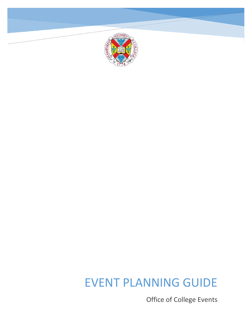

# EVENT PLANNING GUIDE

Office of College Events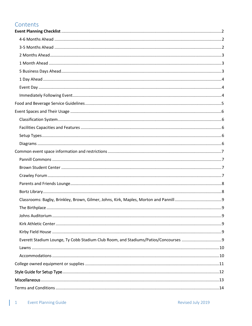# Contents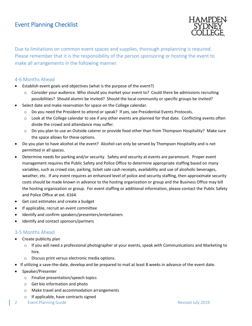

<span id="page-2-0"></span>Due to limitations on common event spaces and supplies, thorough preplanning is required. Please remember that it is the responsibility of the person sponsoring or hosting the event to make all arrangements in the following manner.

# <span id="page-2-1"></span>4-6 Months Ahead

- Establish event goals and objectives (what is the purpose of the event?)
	- $\circ$  Consider your audience. Who should you market your event to? Could there be admissions recruiting possibilities? Should alumni be invited? Should the local community or specific groups be invited?
- Select date and make reservation for space on the College calendar.
	- o Do you need the President to attend or speak? If yes, see Presidential Events Protocols.
	- $\circ$  Look at the College calendar to see if any other events are planned for that date. Conflicting events often divide the crowd and attendance may suffer.
	- o Do you plan to use an Outside caterer or provide food other than from Thompson Hospitality? Make sure the space allows for these options.
- Do you plan to have alcohol at the event? Alcohol can only be served by Thompson Hospitality and is not permitted in all spaces.
- Determine needs for parking and/or security. Safety and security at events are paramount. Proper event management requires the Public Safety and Police Office to determine appropriate staffing based on many variables, such as crowd size, parking, ticket sale cash receipts, availability and use of alcoholic beverages, weather, etc. If any event requires an enhanced level of police and security staffing, then approximate security costs should be made known in advance to the hosting organization or group and the Business Office may bill the hosting organization or group. For event staffing or additional information, please contact the Public Safety and Police Office at ext. 6164.
- Get cost estimates and create a budget
- If applicable, recruit an event committee
- Identify and confirm speakers/presenters/entertainers
- Identify and contact sponsors/partners

# <span id="page-2-2"></span>3-5 Months Ahead

- Create publicity plan
	- $\circ$  If you will need a professional photographer at your events, speak with Communications and Marketing to hire.
	- o Discuss print versus electronic media options.
- If utilizing a save-the-date, develop and be prepared to mail at least 8 weeks in advance of the event date.
- Speaker/Presenter
	- o Finalize presentation/speech topics
	- o Get bio information and photo
	- o Make travel and accommodation arrangements
	- o If applicable, have contracts signed
- 2 Event Planning Guide Revised July 2019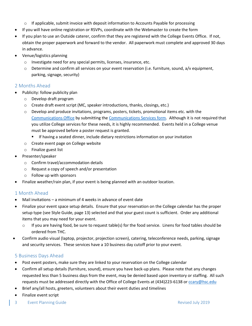- $\circ$  If applicable, submit invoice with deposit information to Accounts Payable for processing
- If you will have online registration or RSVPs, coordinate with the Webmaster to create the form
- If you plan to use an Outside caterer, confirm that they are registered with the College Events Office. If not, obtain the proper paperwork and forward to the vendor. All paperwork must complete and approved 30 days in advance.
- Venue/logistics planning
	- o Investigate need for any special permits, licenses, insurance, etc.
	- $\circ$  Determine and confirm all services on your event reservation (i.e. furniture, sound, a/v equipment, parking, signage, security)

## <span id="page-3-0"></span>2 Months Ahead

- Publicity: follow publicity plan
	- o Develop draft program
	- o Create draft event script (MC, speaker introductions, thanks, closings, etc.)
	- $\circ$  Develop and produce invitations, programs, posters, tickets, promotional items etc. with the [Communications Office](mailto:jcochrane@hsc.edu?subject=REQUEST%20FOR%20EVENT%20PUBLICATIONS) by submitting th[e Communications Services form.](http://www.hsc.edu/communications-and-marketing/communications-forms) Although it is not required that you utilize College services for these needs, it is highly recommended. Events held in a College venue must be approved before a poster request is granted.
		- If having a seated dinner, include dietary restrictions information on your invitation
	- o Create event page on College website
	- o Finalize guest list
- Presenter/speaker
	- o Confirm travel/accommodation details
	- o Request a copy of speech and/or presentation
	- o Follow up with sponsors
- Finalize weather/rain plan, if your event is being planned with an outdoor location.

# <span id="page-3-1"></span>1 Month Ahead

- Mail invitations a minimum of 4 weeks in advance of event date
- Finalize your event space setup details. Ensure that your reservation on the College calendar has the proper setup type (see Style Guide, page 13) selected and that your guest count is sufficient. Order any additional items that you may need for your event.
	- o If you are having food, be sure to request table(s) for the food service. Linens for food tables should be ordered from THC.
- Confirm audio visual (laptop, projector, projection screen), catering, teleconference needs, parking, signage and security services. These services have a 10 business day cutoff prior to your event.

# <span id="page-3-2"></span>5 Business Days Ahead

- Post event posters, make sure they are linked to your reservation on the College calendar
- Confirm all setup details (furniture, sound), ensure you have back-up plans. Please note that any changes requested less than 5 business days from the event, may be denied based upon inventory or staffing. All such requests must be addressed directly with the Office of College Events at (434)223-6138 or [ccary@hsc.edu](mailto:ccary@hsc.edu)
- Brief any/all hosts, greeters, volunteers about their event duties and timelines
- Finalize event script
- 3 Event Planning Guide Revised July 2019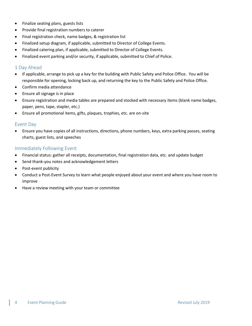- Finalize seating plans, guests lists
- Provide final registration numbers to caterer
- Final registration check, name badges, & registration list
- Finalized setup diagram, if applicable, submitted to Director of College Events.
- Finalized catering plan, if applicable, submitted to Director of College Events.
- Finalized event parking and/or security, if applicable, submitted to Chief of Police.

## <span id="page-4-0"></span>1 Day Ahead

- If applicable, arrange to pick up a key for the building with Public Safety and Police Office. You will be responsible for opening, locking back up, and returning the key to the Public Safety and Police Office.
- Confirm media attendance
- Ensure all signage is in place
- Ensure registration and media tables are prepared and stocked with necessary items (blank name badges, paper, pens, tape, stapler, etc.)
- Ensure all promotional items, gifts, plaques, trophies, etc. are on-site

#### <span id="page-4-1"></span>Event Day

 Ensure you have copies of all instructions, directions, phone numbers, keys, extra parking passes, seating charts, guest lists, and speeches

#### <span id="page-4-2"></span>Immediately Following Event

- Financial status: gather all receipts, documentation, final registration data, etc. and update budget
- Send thank-you notes and acknowledgement letters
- Post-event publicity
- Conduct a Post-Event Survey to learn what people enjoyed about your event and where you have room to improve
- Have a review meeting with your team or committee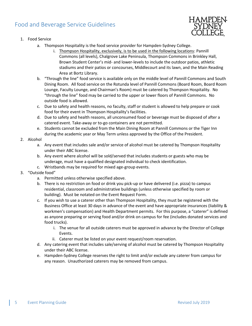# <span id="page-5-0"></span>Food and Beverage Service Guidelines



#### 1. Food Service

- a. Thompson Hospitality is the food service provider for Hampden-Sydney College.
	- i. Thompson Hospitality, exclusively, is to be used in the following locations: Pannill Commons (all levels), Chalgrove Lake Peninsula, Thompson Commons in Brinkley Hall, Brown Student Center's mid- and lower-levels to include the outdoor patios, athletic stadiums and their patios or concourses, Middlecourt and its lawn, and the Main Reading Area at Bortz Library.
- b. "Through the line" food service is available only on the middle level of Pannill Commons and South Dining Room. All food service on the Rotunda level of Pannill Commons (Board Room, Board Room Lounge, Faculty Lounge, and Chairman's Room) must be catered by Thompson Hospitality. No "through the line" food may be carried to the upper or lower floors of Pannill Commons. No outside food is allowed.
- c. Due to safety and health reasons, no faculty, staff or student is allowed to help prepare or cook food for their event in Thompson Hospitality's facilities.
- d. Due to safety and health reasons, all unconsumed food or beverage must be disposed of after a catered event. Take-away or to-go containers are not permitted.
- e. Students cannot be excluded from the Main Dining Room at Pannill Commons or the Tiger Inn during the academic year or May Term unless approved by the Office of the President.

#### 2. Alcohol

- a. Any event that includes sale and/or service of alcohol must be catered by Thompson Hospitality under their ABC license.
- b. Any event where alcohol will be sold/served that includes students or guests who may be underage, must have a qualified designated individual to check identification.
- c. Wristbands may be required for mixed age-group events.

## 3. "Outside food"

- a. Permitted unless otherwise specified above.
- b. There is no restriction on food or drink you pick-up or have delivered (i.e. pizza) to campus residential, classroom and administrative buildings (unless otherwise specified by room or building). Must be notated on the Event Request Form.
- c. If you wish to use a caterer other than Thompson Hospitality, they must be registered with the Business Office at least 30 days in advance of the event and have appropriate insurances (liability & workmen's compensation) and Health Department permits. For this purpose, a "caterer" is defined as anyone preparing or serving food and/or drink on campus for fee (includes donated services and food trucks).
	- i. The venue for all outside caterers must be approved in advance by the Director of College Events.
	- ii. Caterer must be listed on your event request/room reservation.
- d. Any catering event that includes sale/serving of alcohol must be catered by Thompson Hospitality under their ABC license.
- e. Hampden-Sydney College reserves the right to limit and/or exclude any caterer from campus for any reason. Unauthorized caterers may be removed from campus.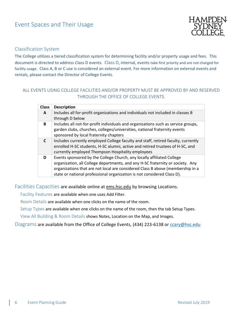

## <span id="page-6-1"></span><span id="page-6-0"></span>Classification System

The College utilizes a tiered classification system for determining facility and/or property usage and fees. This document is directed to address Class D events. Class D, internal, events take first priority and are not charged for facility usage. Class A, B or C use is considered an external event. For more information on external events and rentals, please contact the Director of College Events.

# ALL EVENTS USING COLLEGE FACILITIES AND/OR PROPERTY MUST BE APPROVED BY AND RESERVED THROUGH THE OFFICE OF COLLEGE EVENTS.

| <b>Class</b> | <b>Description</b>                                                                                                                                                                                                                                                                                                    |
|--------------|-----------------------------------------------------------------------------------------------------------------------------------------------------------------------------------------------------------------------------------------------------------------------------------------------------------------------|
| $\mathbf{A}$ | Includes all for-profit organizations and individuals not included in classes B<br>through D below                                                                                                                                                                                                                    |
| В            | Includes all not-for-profit individuals and organizations such as service groups,<br>garden clubs, churches, colleges/universities, national fraternity events<br>sponsored by local fraternity chapters                                                                                                              |
| $\mathsf{C}$ | Includes currently employed College faculty and staff, retired faculty, currently<br>enrolled H-SC students, H-SC alumni, active and retired trustees of H-SC, and<br>currently employed Thompson Hospitality employees                                                                                               |
| D            | Events sponsored by the College Church, any locally affiliated College<br>organization, all College departments, and any H-SC fraternity or society. Any<br>organizations that are not local are considered Class B above (membership in a<br>state or national professional organization is not considered Class D). |

<span id="page-6-2"></span>Facilities Capacities are available online at **ems.hsc.edu** by browsing Locations.

Facility Features are available when one uses Add Filter.

Room Details are available when one clicks on the name of the room.

<span id="page-6-3"></span>Setup Types are available when one clicks on the name of the room, then the tab Setup Types.

View All Building & Room Details shows Notes, Location on the Map, and Images.

<span id="page-6-4"></span>Diagrams are available from the Office of College Events, (434) 223-6138 or [ccary@hsc.edu](mailto:ccary@hsc.edu)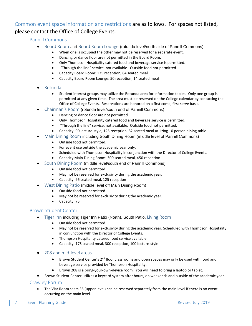# <span id="page-7-1"></span><span id="page-7-0"></span>Common event space information and restrictions are as follows. For spaces not listed, please contact the Office of College Events.

## Pannill Commons

- Board Room and Board Room Lounge (rotunda level/north side of Pannill Commons)
	- When one is occupied the other may not be reserved for a separate event.
	- Dancing or dance floor are not permitted in the Board Room.
	- Only Thompson Hospitality catered food and beverage service is permitted.
	- "Through the line" service, not available. Outside food not permitted.
	- Capacity Board Room: 175 reception, 84 seated meal
	- Capacity Board Room Lounge: 50 reception, 14 seated meal
- Rotunda
	- Student interest groups may utilize the Rotunda area for information tables. Only one group is permitted at any given time. The area must be reserved on the College calendar by contacting the Office of College Events. Reservations are honored on a first come, first serve basis.
- Chairman's Room (rotunda level/south end of Pannill Commons)
	- Dancing or dance floor are not permitted.
	- Only Thompson Hospitality catered food and beverage service is permitted.
	- "Through the line" service, not available. Outside food not permitted.
	- Capacity: 90 lecture-style, 125 reception, 82 seated meal utilizing 10 person dining table
- Main Dining Room including South Dining Room (middle level of Pannill Commons)
	- Outside food not permitted.
	- For event use outside the academic year only.
	- Scheduled with Thompson Hospitality in conjunction with the Director of College Events.
	- Capacity Main Dining Room: 300 seated meal, 450 reception
- South Dining Room (middle level/south end of Pannill Commons)
	- Outside food not permitted.
	- May not be reserved for exclusivity during the academic year.
	- Capacity: 96 seated meal, 125 reception
- West Dining Patio (middle level off Main Dining Room)
	- Outside food not permitted.
	- May not be reserved for exclusivity during the academic year.
	- Capacity: 75

## <span id="page-7-2"></span>Brown Student Center

- **Tiger Inn including Tiger Inn Patio (North), South Patio, Living Room** 
	- Outside food not permitted.
	- May not be reserved for exclusivity during the academic year. Scheduled with Thompson Hospitality in conjunction with the Director of College Events.
	- Thompson Hospitality catered food service available.
	- Capacity: 175 seated meal, 300 reception, 100 lecture-style
- 208 and mid-level areas
	- **•** Brown Student Center's 2<sup>nd</sup> floor classrooms and open spaces may only be used with food and beverage service provided by Thompson Hospitality.
	- Brown 208 is a bring-your-own-device room. You will need to bring a laptop or tablet.
- Brown Student Center utilizes a keycard system after hours, on weekends and outside of the academic year.

## <span id="page-7-3"></span>Crawley Forum

 The Viar Room seats 35 (upper level) can be reserved separately from the main level if there is no event occurring on the main level.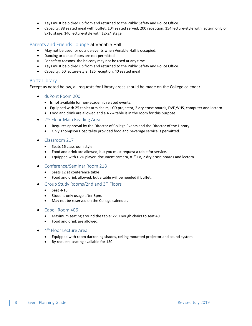- Keys must be picked up from and returned to the Public Safety and Police Office.
- Capacity: 88 seated meal with buffet, 104 seated served, 200 reception, 154 lecture-style with lectern only or 8x16 stage, 140 lecture-style with 12x24 stage

#### <span id="page-8-0"></span>Parents and Friends Lounge at Venable Hall

- May not be used for outside events when Venable Hall is occupied.
- Dancing or dance floors are not permitted.
- For safety reasons, the balcony may not be used at any time.
- Keys must be picked up from and returned to the Public Safety and Police Office.
- Capacity: 60 lecture-style, 125 reception, 40 seated meal

#### <span id="page-8-1"></span>Bortz Library

Except as noted below, all requests for Library areas should be made on the College calendar.

- duPont Room 200
	- Is not available for non-academic related events.
	- Equipped with 25 tablet arm chairs, LCD projector, 2 dry erase boards, DVD/VHS, computer and lectern.
	- Food and drink are allowed and a 4 x 4 table is in the room for this purpose
- 2<sup>nd</sup> Floor Main Reading Area
	- Requires approval by the Director of College Events and the Director of the Library.
	- Only Thompson Hospitality provided food and beverage service is permitted.
- Classroom 217
	- Seats 16 classroom style
	- Food and drink are allowed, but you must request a table for service.
	- Equipped with DVD player, document camera, 81" TV, 2 dry erase boards and lectern.
- Conference/Seminar Room 218
	- Seats 12 at conference table
	- Food and drink allowed, but a table will be needed if buffet.
- Group Study Rooms/2nd and 3rd Floors
	- $\bullet$  Seat 4-10
	- Student only usage after 6pm.
	- May not be reserved on the College calendar.

#### • Cabell Room 406

- Maximum seating around the table: 22. Enough chairs to seat 40.
- Food and drink are allowed.
- 4<sup>th</sup> Floor Lecture Area
	- Equipped with room darkening shades, ceiling mounted projector and sound system.
	- By request, seating available for 150.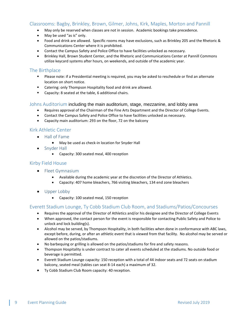# <span id="page-9-0"></span>Classrooms: Bagby, Brinkley, Brown, Gilmer, Johns, Kirk, Maples, Morton and Pannill

- May only be reserved when classes are not in session. Academic bookings take precedence.
- May be used "as is" only.
- Food and drink are allowed. Specific rooms may have exclusions, such as Brinkley 205 and the Rhetoric & Communications Center where it is prohibited.
- Contact the Campus Safety and Police Office to have facilities unlocked as necessary.
- Brinkley Hall, Brown Student Center, and the Rhetoric and Communications Center at Pannill Commons utilize keycard systems after hours, on weekends, and outside of the academic year.

#### <span id="page-9-1"></span>The Birthplace

- Please note: if a Presidential meeting is required, you may be asked to reschedule or find an alternate location on short notice.
- **EXECT** Catering: only Thompson Hospitality food and drink are allowed.
- Capacity: 8 seated at the table, 6 additional chairs.

#### <span id="page-9-2"></span>Johns Auditorium including the main auditorium, stage, mezzanine, and lobby area

- Requires approval of the Chairman of the Fine Arts Department and the Director of College Events.
- Contact the Campus Safety and Police Office to have facilities unlocked as necessary.
- Capacity main auditorium: 293 on the floor, 72 on the balcony

# <span id="page-9-3"></span>Kirk Athletic Center

- Hall of Fame
	- May be used as check-in location for Snyder Hall
- Snyder Hall
	- Capacity: 300 seated meal, 400 reception

#### <span id="page-9-4"></span>Kirby Field House

- Fleet Gymnasium
	- Available during the academic year at the discretion of the Director of Athletics.
	- Capacity: 407 home bleachers, 766 visiting bleachers, 134 end zone bleachers
- Upper Lobby
	- Capacity: 100 seated meal, 150 reception

## <span id="page-9-5"></span>Everett Stadium Lounge, Ty Cobb Stadium Club Room, and Stadiums/Patios/Concourses

- Requires the approval of the Director of Athletics and/or his designee and the Director of College Events
- When approved, the contact person for the event is responsible for contacting Public Safety and Police to unlock and lock building(s).
- Alcohol may be served, by Thompson Hospitality, in both facilities when done in conformance with ABC laws, except before, during, or after an athletic event that is viewed from that facility. No alcohol may be served or allowed on the patios/stadiums.
- No barbequing or grilling is allowed on the patios/stadiums for fire and safety reasons.
- Thompson Hospitality is under contract to cater all events scheduled at the stadiums. No outside food or beverage is permitted.
- Everett Stadium Lounge capacity: 150 reception with a total of 44 indoor seats and 72 seats on stadium balcony, seated meal (tables can seat 8-14 each) a maximum of 32.
- Ty Cobb Stadium Club Room capacity: 40 reception.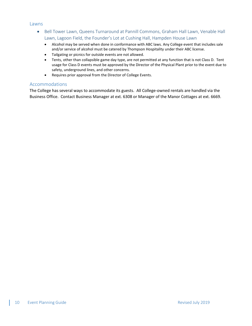#### <span id="page-10-0"></span>Lawns

- Bell Tower Lawn, Queens Turnaround at Pannill Commons, Graham Hall Lawn, Venable Hall Lawn, Lagoon Field, the Founder's Lot at Cushing Hall, Hampden House Lawn
	- Alcohol may be served when done in conformance with ABC laws. Any College event that includes sale and/or service of alcohol must be catered by Thompson Hospitality under their ABC license.
	- Tailgating or picnics for outside events are not allowed.
	- Tents, other than collapsible game day type, are not permitted at any function that is not Class D. Tent usage for Class D events must be approved by the Director of the Physical Plant prior to the event due to safety, underground lines, and other concerns.
	- Requires prior approval from the Director of College Events.

#### <span id="page-10-1"></span>Accommodations

The College has several ways to accommodate its guests. All College-owned rentals are handled via the Business Office. Contact Business Manager at ext. 6308 or Manager of the Manor Cottages at ext. 6669.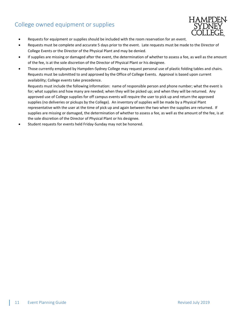# <span id="page-11-0"></span>College owned equipment or supplies



- Requests for equipment or supplies should be included with the room reservation for an event.
- Requests must be complete and accurate 5 days prior to the event. Late requests must be made to the Director of College Events or the Director of the Physical Plant and may be denied.
- If supplies are missing or damaged after the event, the determination of whether to assess a fee, as well as the amount of the fee, is at the sole discretion of the Director of Physical Plant or his designee.
- Those currently employed by Hampden-Sydney College may request personal use of plastic folding tables and chairs. Requests must be submitted to and approved by the Office of College Events. Approval is based upon current availability; College events take precedence.

Requests must include the following information: name of responsible person and phone number; what the event is for; what supplies and how many are needed; when they will be picked up; and when they will be returned. Any approved use of College supplies for off campus events will require the user to pick up and return the approved supplies (no deliveries or pickups by the College). An inventory of supplies will be made by a Physical Plant representative with the user at the time of pick up and again between the two when the supplies are returned. If supplies are missing or damaged, the determination of whether to assess a fee, as well as the amount of the fee, is at the sole discretion of the Director of Physical Plant or his designee.

Student requests for events held Friday-Sunday may not be honored.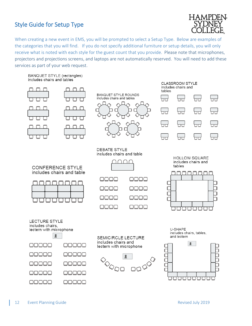# <span id="page-12-0"></span>Style Guide for Setup Type



When creating a new event in EMS, you will be prompted to select a Setup Type. Below are examples of the categories that you will find. If you do not specify additional furniture or setup details, you will only receive what is noted with each style for the guest count that you provide. Please note that microphones, projectors and projections screens, and laptops are not automatically reserved. You will need to add these services as part of your web request.

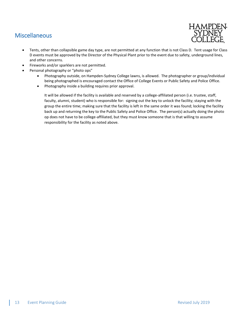# <span id="page-13-0"></span>Miscellaneous



- Tents, other than collapsible game day type, are not permitted at any function that is not Class D. Tent usage for Class D events must be approved by the Director of the Physical Plant prior to the event due to safety, underground lines, and other concerns.
- Fireworks and/or sparklers are not permitted.
- Personal photography or "photo ops"
	- Photography outside, on Hampden-Sydney College lawns, is allowed. The photographer or group/individual being photographed is encouraged contact the Office of College Events or Public Safety and Police Office.
	- Photography inside a building requires prior approval.

It will be allowed if the facility is available and reserved by a college-affiliated person (i.e. trustee, staff, faculty, alumni, student) who is responsible for: signing out the key to unlock the facility; staying with the group the entire time; making sure that the facility is left in the same order it was found; locking the facility back up and returning the key to the Public Safety and Police Office. The person(s) actually doing the photo op does not have to be college-affiliated, but they must know someone that is that willing to assume responsibility for the facility as noted above.